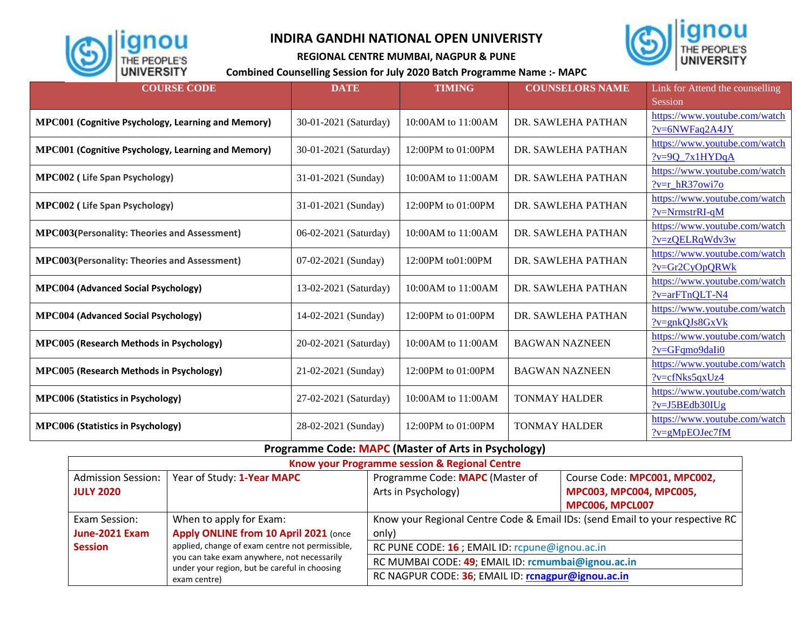

г

## **INDIRA GANDHI NATIONAL OPEN UNIVERISTY**



**REGIONAL CENTRE MUMBAI, NAGPUR & PUNE**

## **Combined Counselling Session for July 2020 Batch Programme Name :- MAPC**

| <b>COURSE CODE</b>                                  | <b>DATE</b>           | <b>TIMING</b>        | <b>COUNSELORS NAME</b> | Link for Attend the counselling |
|-----------------------------------------------------|-----------------------|----------------------|------------------------|---------------------------------|
|                                                     |                       |                      |                        | Session                         |
|                                                     | 30-01-2021 (Saturday) | 10:00 AM to 11:00 AM | DR. SAWLEHA PATHAN     | https://www.youtube.com/watch   |
| MPC001 (Cognitive Psychology, Learning and Memory)  |                       |                      |                        | $?v=6NWFaq2A4JY$                |
|                                                     | 30-01-2021 (Saturday) | 12:00PM to 01:00PM   | DR. SAWLEHA PATHAN     | https://www.youtube.com/watch   |
| MPC001 (Cognitive Psychology, Learning and Memory)  |                       |                      |                        | $?v=9Q_7x1HYDqA$                |
| <b>MPC002</b> (Life Span Psychology)                | 31-01-2021 (Sunday)   | 10:00 AM to 11:00 AM | DR. SAWLEHA PATHAN     | https://www.youtube.com/watch   |
|                                                     |                       |                      |                        | $?v=r$ hR37 $o$ wi7 $o$         |
| <b>MPC002</b> (Life Span Psychology)                | 31-01-2021 (Sunday)   | 12:00PM to 01:00PM   | DR. SAWLEHA PATHAN     | https://www.youtube.com/watch   |
|                                                     |                       |                      |                        | $?v=NrmstrRI-qM$                |
| <b>MPC003(Personality: Theories and Assessment)</b> | 06-02-2021 (Saturday) | 10:00 AM to 11:00 AM | DR. SAWLEHA PATHAN     | https://www.youtube.com/watch   |
|                                                     |                       |                      |                        | $?v = zOELRqWdv3w$              |
| <b>MPC003(Personality: Theories and Assessment)</b> | 07-02-2021 (Sunday)   | 12:00PM to01:00PM    | DR. SAWLEHA PATHAN     | https://www.youtube.com/watch   |
|                                                     |                       |                      |                        | $?v = Gr2CyOpQRWk$              |
| <b>MPC004 (Advanced Social Psychology)</b>          | 13-02-2021 (Saturday) | 10:00 AM to 11:00 AM | DR. SAWLEHA PATHAN     | https://www.youtube.com/watch   |
|                                                     |                       |                      |                        | ?v=arFTnQLT-N4                  |
| <b>MPC004 (Advanced Social Psychology)</b>          | 14-02-2021 (Sunday)   | 12:00PM to 01:00PM   | DR. SAWLEHA PATHAN     | https://www.youtube.com/watch   |
|                                                     |                       |                      |                        | $?v=enkOJs8GxVk$                |
| <b>MPC005 (Research Methods in Psychology)</b>      | 20-02-2021 (Saturday) | 10:00AM to 11:00AM   | <b>BAGWAN NAZNEEN</b>  | https://www.youtube.com/watch   |
|                                                     |                       |                      |                        | $?v = GFqmo9dali0$              |
| <b>MPC005 (Research Methods in Psychology)</b>      | 21-02-2021 (Sunday)   | 12:00PM to 01:00PM   | <b>BAGWAN NAZNEEN</b>  | https://www.youtube.com/watch   |
|                                                     |                       |                      |                        | $?$ v=cfNks5qxUz4               |
| <b>MPC006 (Statistics in Psychology)</b>            | 27-02-2021 (Saturday) | 10:00AM to 11:00AM   | <b>TONMAY HALDER</b>   | https://www.youtube.com/watch   |
|                                                     |                       |                      |                        | $?v=J5BEdb30IUg$                |
| <b>MPC006 (Statistics in Psychology)</b>            | 28-02-2021 (Sunday)   | 12:00PM to 01:00PM   | <b>TONMAY HALDER</b>   | https://www.youtube.com/watch   |
|                                                     |                       |                      |                        | $?v = gMpEOJec7fM$              |

**Programme Code: MAPC (Master of Arts in Psychology)**

| Know your Programme session & Regional Centre                                                |                                                    |                                                                               |                              |  |  |  |
|----------------------------------------------------------------------------------------------|----------------------------------------------------|-------------------------------------------------------------------------------|------------------------------|--|--|--|
| <b>Admission Session:</b>                                                                    | Year of Study: 1-Year MAPC                         | Programme Code: MAPC (Master of                                               | Course Code: MPC001, MPC002, |  |  |  |
| <b>JULY 2020</b>                                                                             |                                                    | Arts in Psychology)                                                           | MPC003, MPC004, MPC005,      |  |  |  |
|                                                                                              |                                                    |                                                                               | MPC006, MPCL007              |  |  |  |
| Exam Session:                                                                                | When to apply for Exam:                            | Know your Regional Centre Code & Email IDs: (send Email to your respective RC |                              |  |  |  |
| June-2021 Exam                                                                               | Apply ONLINE from 10 April 2021 (once              | only)                                                                         |                              |  |  |  |
| <b>Session</b>                                                                               | applied, change of exam centre not permissible,    | RC PUNE CODE: 16 ; EMAIL ID: rcpune@ignou.ac.in                               |                              |  |  |  |
| you can take exam anywhere, not necessarily<br>under your region, but be careful in choosing | RC MUMBAI CODE: 49; EMAIL ID: rcmumbai@ignou.ac.in |                                                                               |                              |  |  |  |
| exam centre)                                                                                 |                                                    | RC NAGPUR CODE: 36; EMAIL ID: rcnagpur@ignou.ac.in                            |                              |  |  |  |